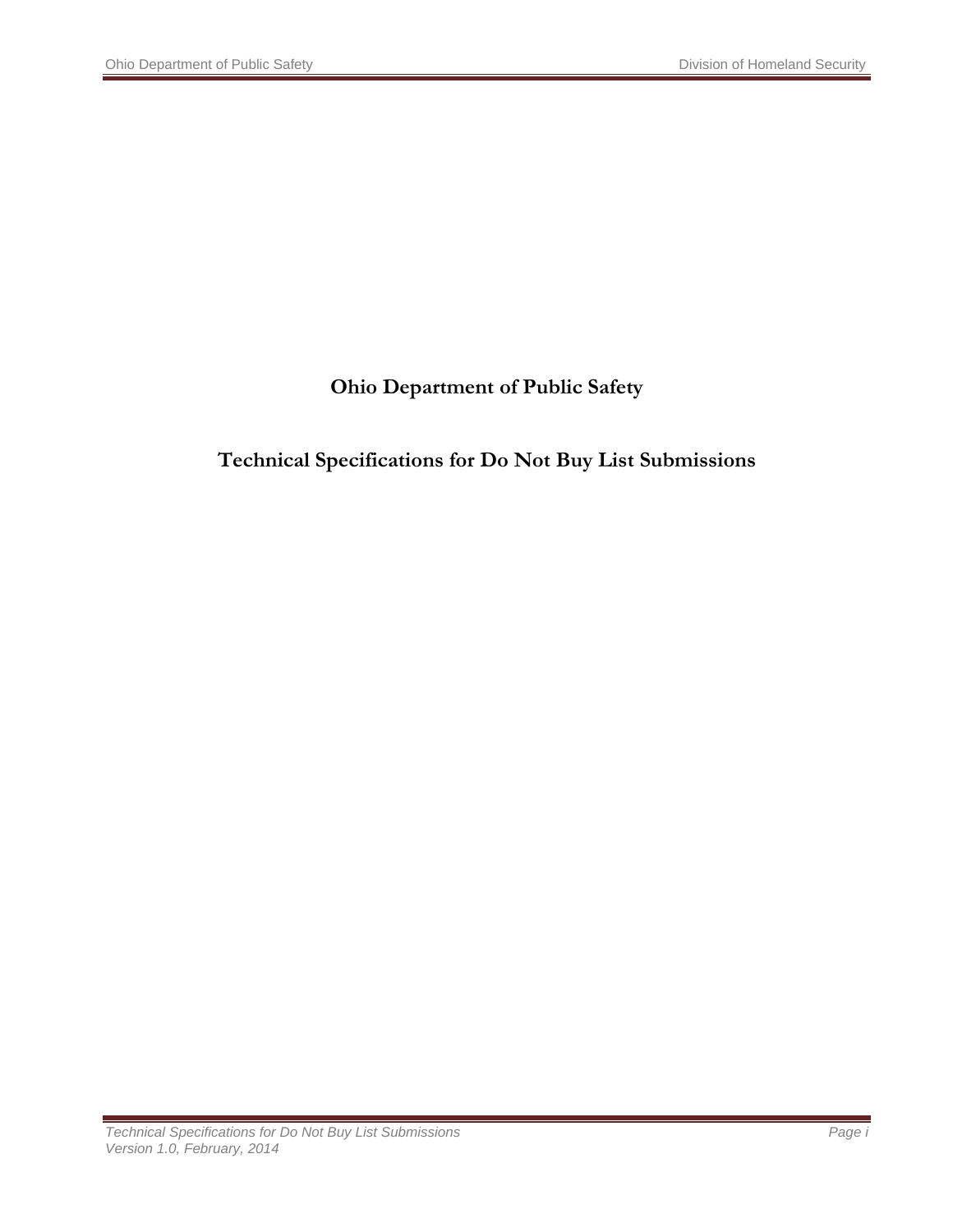## **Ohio Department of Public Safety**

### **Technical Specifications for Do Not Buy List Submissions**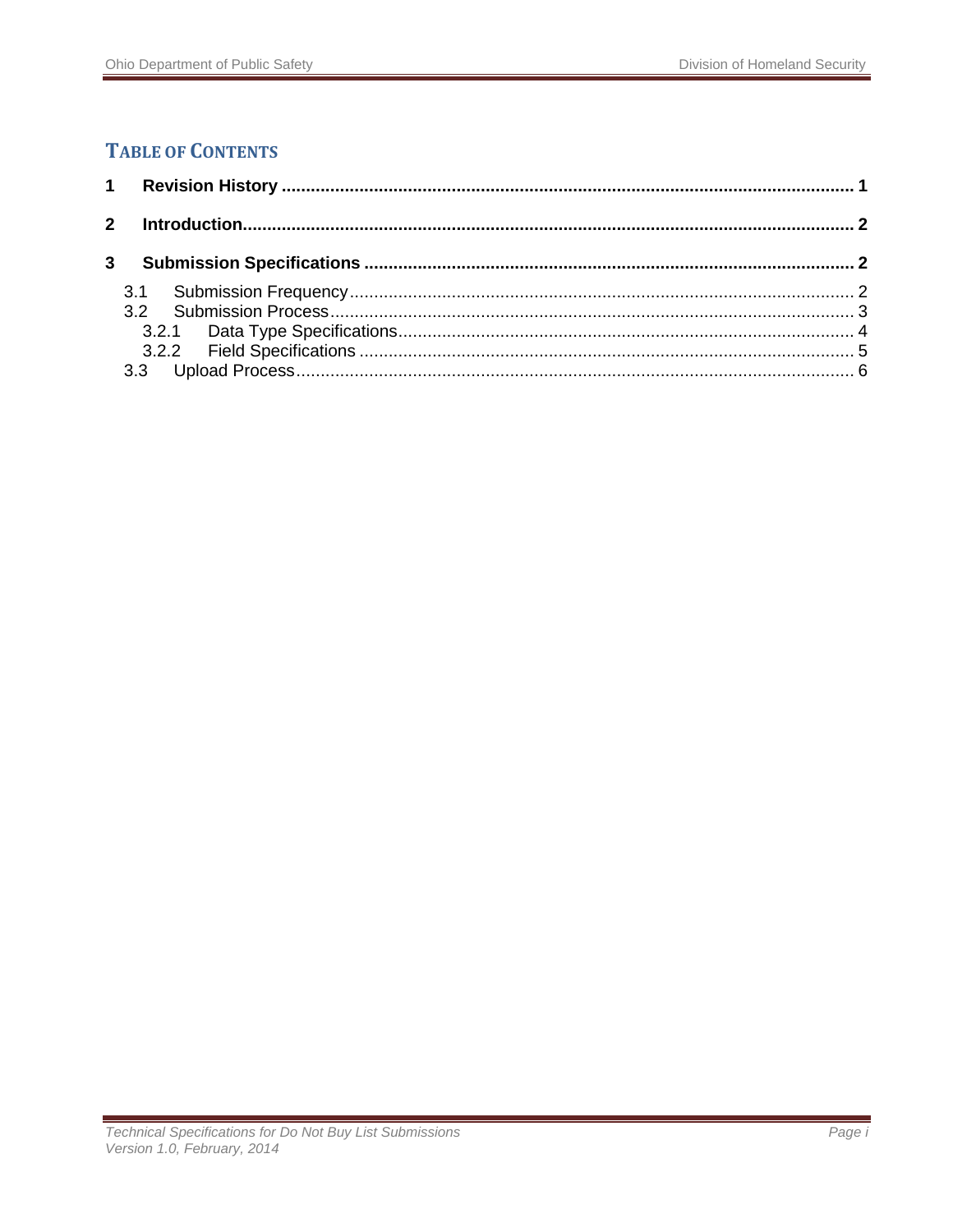### **TABLE OF CONTENTS**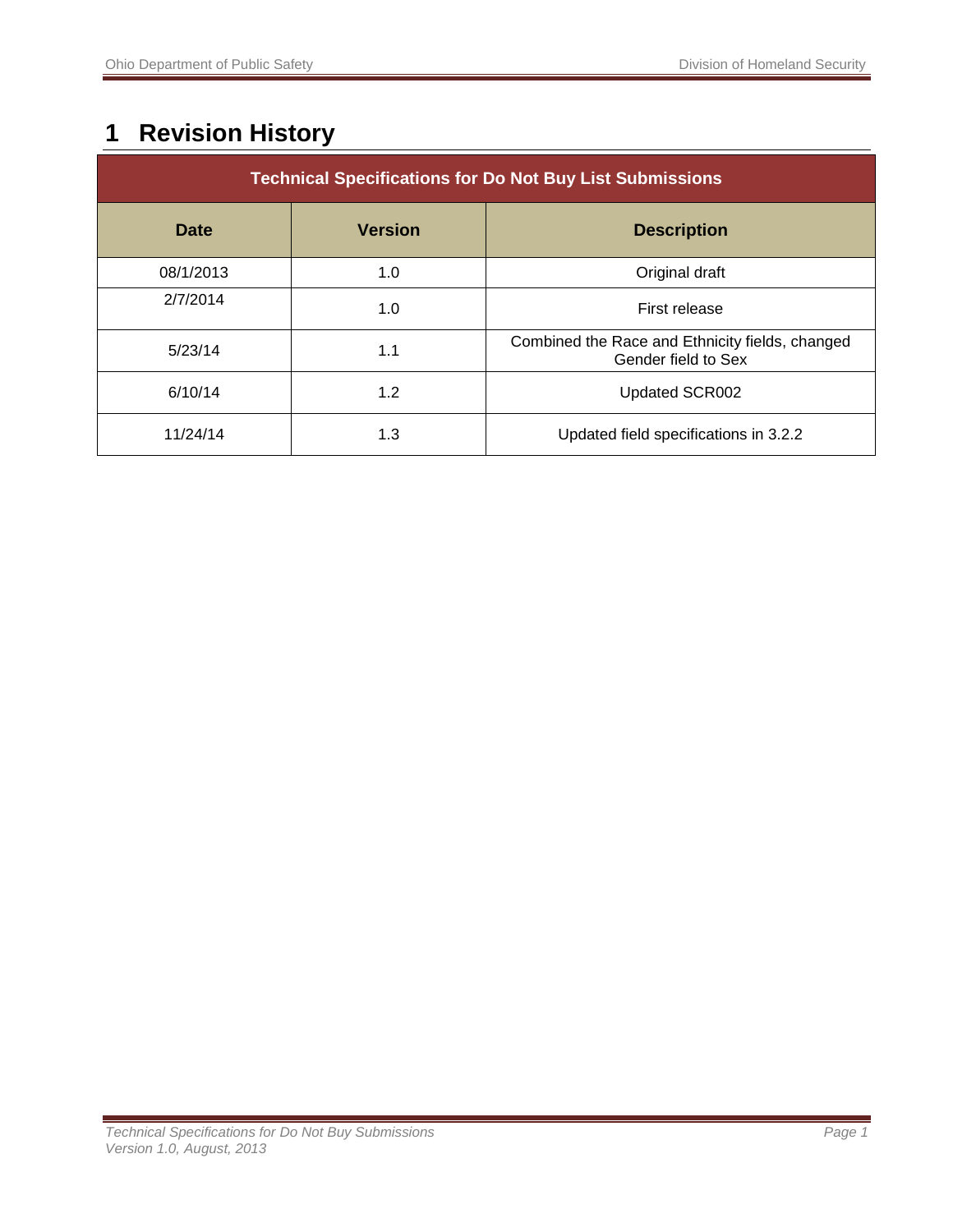# <span id="page-2-0"></span>**1 Revision History**

| <b>Technical Specifications for Do Not Buy List Submissions</b> |                |                                                                        |  |
|-----------------------------------------------------------------|----------------|------------------------------------------------------------------------|--|
| <b>Date</b>                                                     | <b>Version</b> | <b>Description</b>                                                     |  |
| 08/1/2013                                                       | 1.0            | Original draft                                                         |  |
| 2/7/2014                                                        | 1.0            | First release                                                          |  |
| 5/23/14                                                         | 1.1            | Combined the Race and Ethnicity fields, changed<br>Gender field to Sex |  |
| 6/10/14                                                         | 1.2            | Updated SCR002                                                         |  |
| 11/24/14                                                        | 1.3            | Updated field specifications in 3.2.2                                  |  |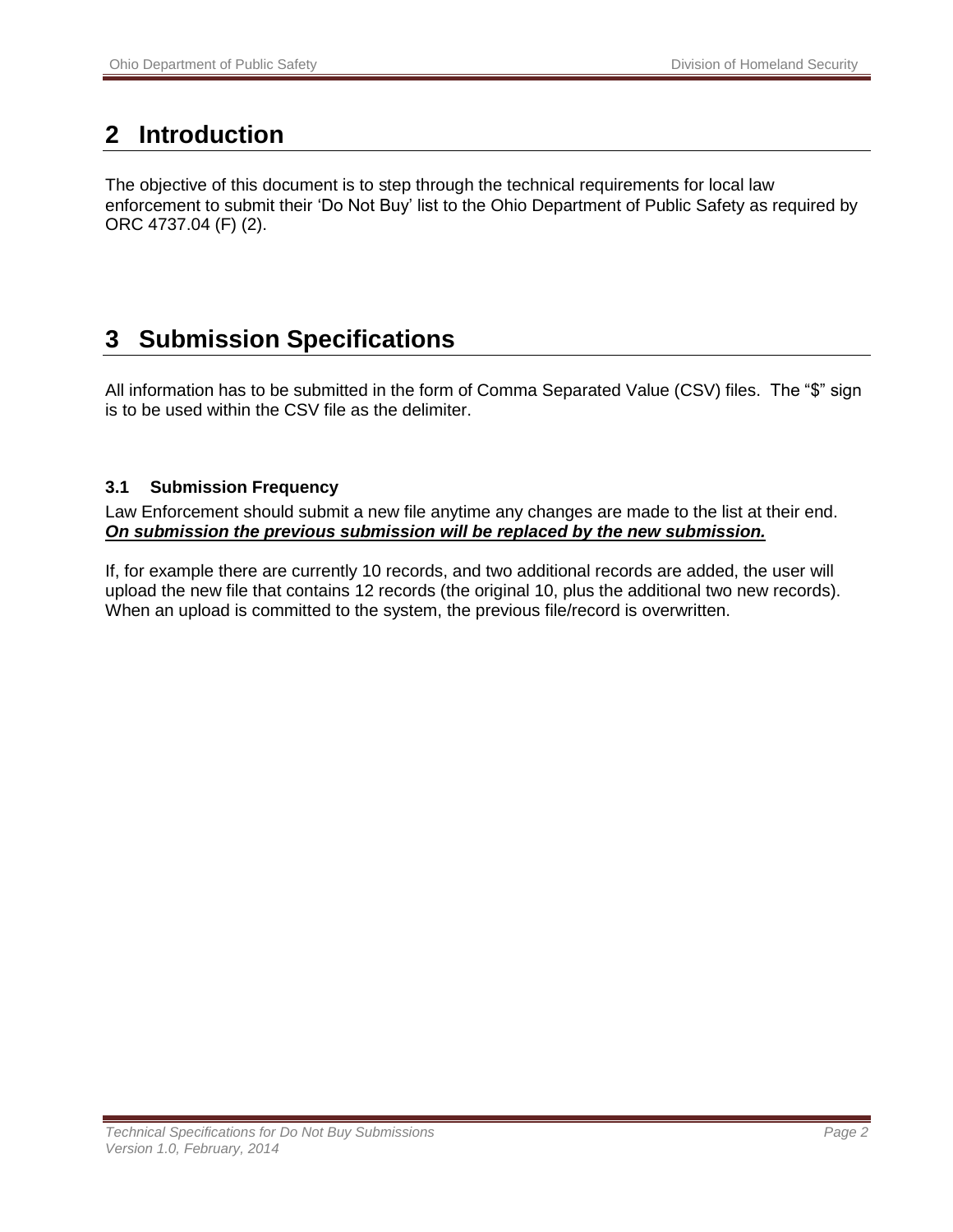## <span id="page-3-0"></span>**2 Introduction**

The objective of this document is to step through the technical requirements for local law enforcement to submit their 'Do Not Buy' list to the Ohio Department of Public Safety as required by ORC 4737.04 (F) (2).

## <span id="page-3-1"></span>**3 Submission Specifications**

All information has to be submitted in the form of Comma Separated Value (CSV) files. The "\$" sign is to be used within the CSV file as the delimiter.

#### <span id="page-3-2"></span>**3.1 Submission Frequency**

Law Enforcement should submit a new file anytime any changes are made to the list at their end. *On submission the previous submission will be replaced by the new submission.*

If, for example there are currently 10 records, and two additional records are added, the user will upload the new file that contains 12 records (the original 10, plus the additional two new records). When an upload is committed to the system, the previous file/record is overwritten.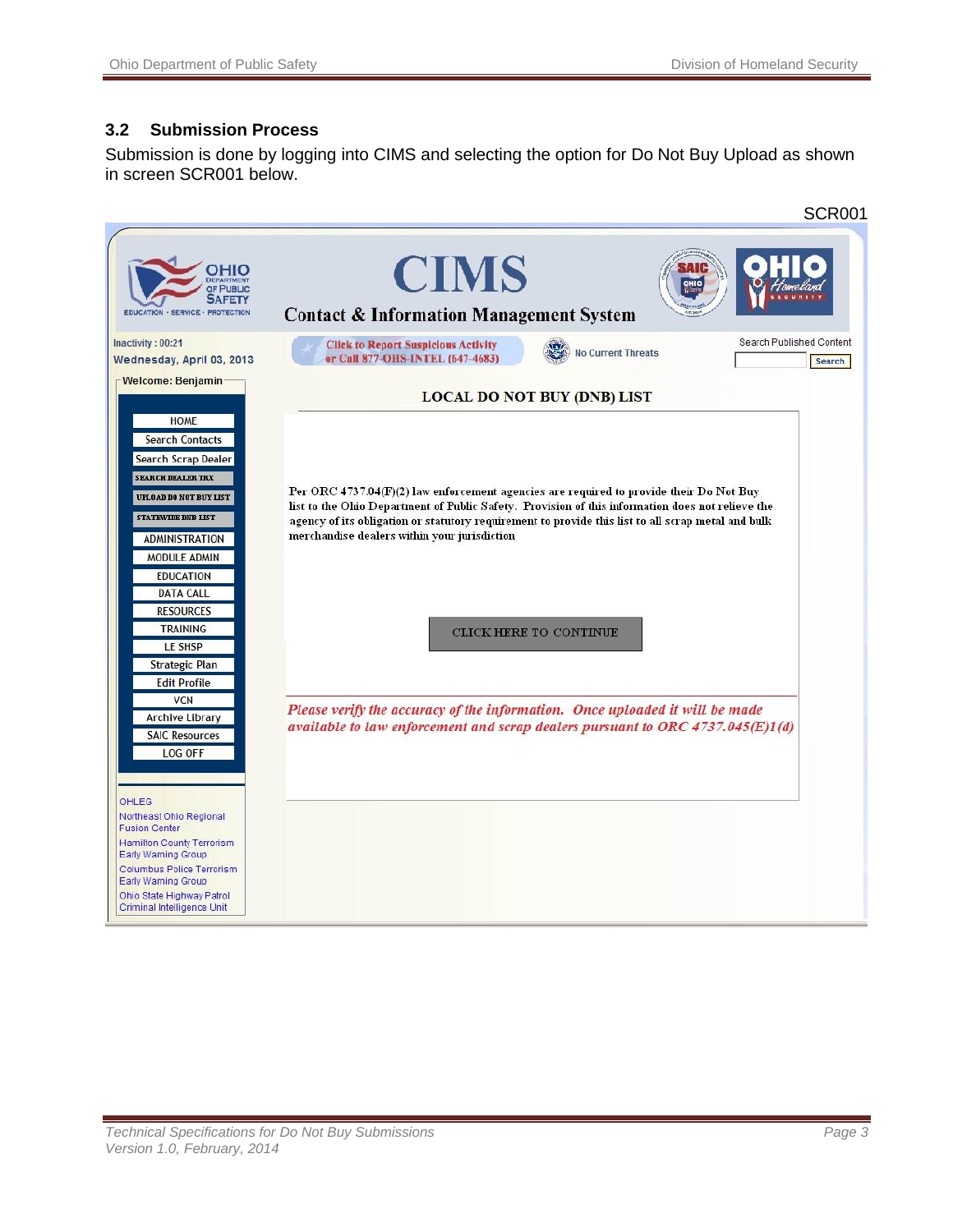#### <span id="page-4-0"></span>**3.2 Submission Process**

Submission is done by logging into CIMS and selecting the option for Do Not Buy Upload as shown in screen SCR001 below.

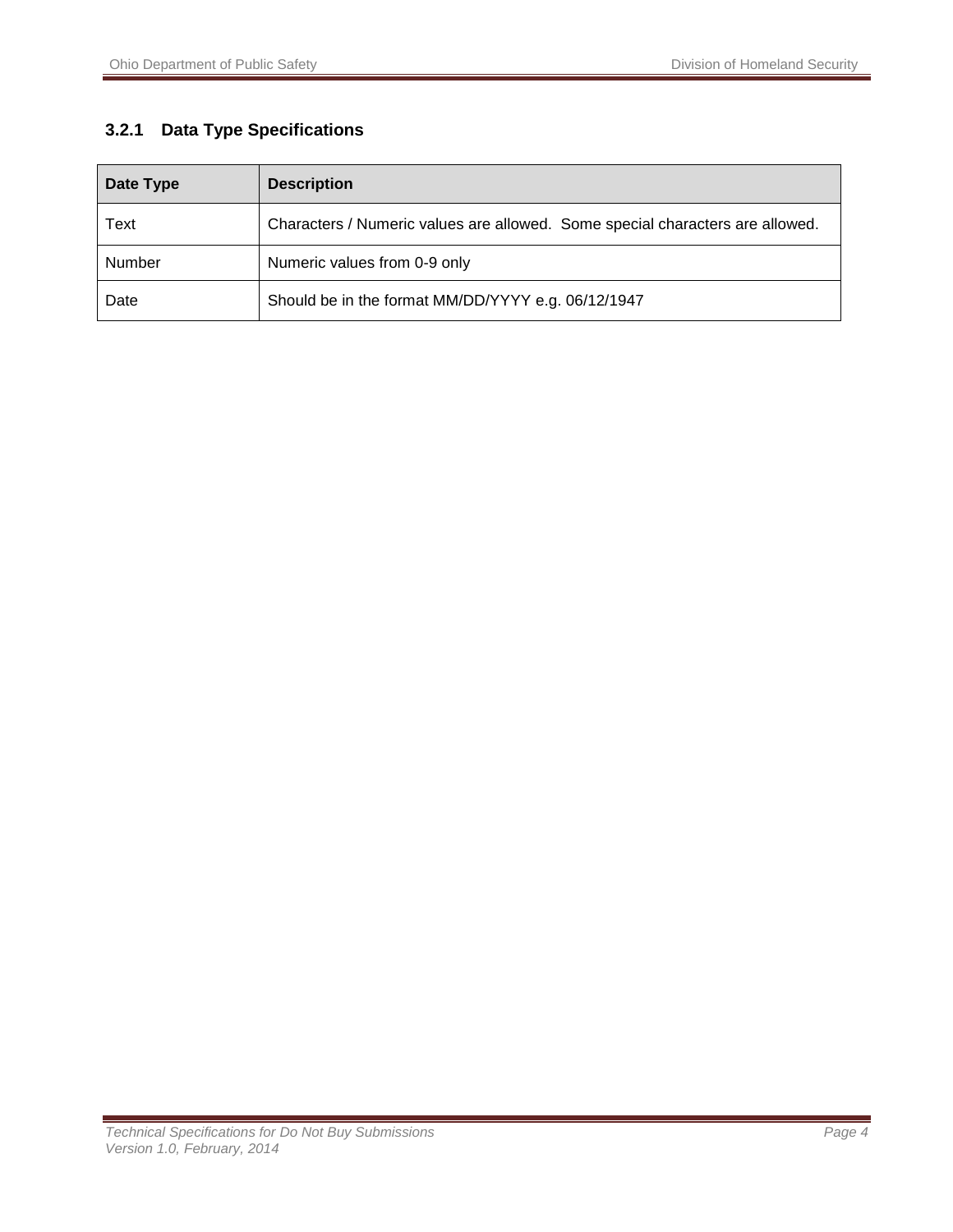#### <span id="page-5-0"></span>**3.2.1 Data Type Specifications**

| Date Type | <b>Description</b>                                                            |
|-----------|-------------------------------------------------------------------------------|
| Text      | Characters / Numeric values are allowed. Some special characters are allowed. |
| Number    | Numeric values from 0-9 only                                                  |
| Date      | Should be in the format MM/DD/YYYY e.g. 06/12/1947                            |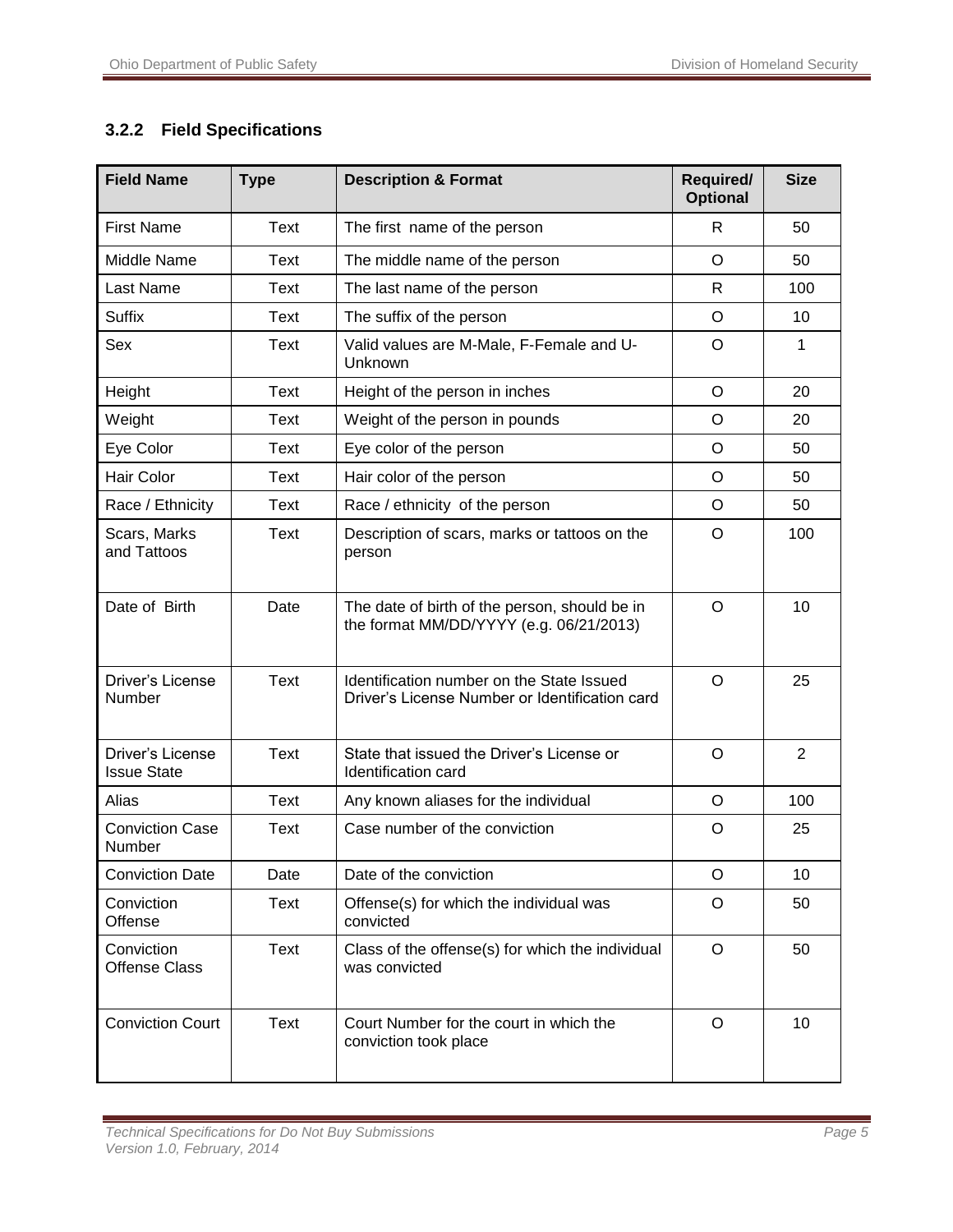#### <span id="page-6-0"></span>**3.2.2 Field Specifications**

| <b>Field Name</b>                      | <b>Type</b> | <b>Description &amp; Format</b>                                                             | Required/<br><b>Optional</b> | <b>Size</b>    |
|----------------------------------------|-------------|---------------------------------------------------------------------------------------------|------------------------------|----------------|
| <b>First Name</b>                      | <b>Text</b> | The first name of the person                                                                | R                            | 50             |
| Middle Name                            | Text        | The middle name of the person                                                               | O                            | 50             |
| Last Name                              | Text        | The last name of the person                                                                 | R                            | 100            |
| <b>Suffix</b>                          | <b>Text</b> | The suffix of the person                                                                    | O                            | 10             |
| Sex                                    | Text        | Valid values are M-Male, F-Female and U-<br>Unknown                                         | O                            | 1              |
| Height                                 | <b>Text</b> | Height of the person in inches                                                              | $\circ$                      | 20             |
| Weight                                 | Text        | Weight of the person in pounds                                                              | O                            | 20             |
| Eye Color                              | Text        | Eye color of the person                                                                     | O                            | 50             |
| Hair Color                             | Text        | Hair color of the person                                                                    | O                            | 50             |
| Race / Ethnicity                       | Text        | Race / ethnicity of the person                                                              | O                            | 50             |
| Scars, Marks<br>and Tattoos            | Text        | Description of scars, marks or tattoos on the<br>person                                     | $\circ$                      | 100            |
| Date of Birth                          | Date        | The date of birth of the person, should be in<br>the format MM/DD/YYYY (e.g. 06/21/2013)    | O                            | 10             |
| Driver's License<br>Number             | <b>Text</b> | Identification number on the State Issued<br>Driver's License Number or Identification card | $\circ$                      | 25             |
| Driver's License<br><b>Issue State</b> | Text        | State that issued the Driver's License or<br>Identification card                            | O                            | $\overline{2}$ |
| Alias                                  | <b>Text</b> | Any known aliases for the individual                                                        | $\circ$                      | 100            |
| <b>Conviction Case</b><br>Number       | Text        | Case number of the conviction                                                               | O                            | 25             |
| <b>Conviction Date</b>                 | Date        | Date of the conviction                                                                      | O                            | 10             |
| Conviction<br>Offense                  | Text        | Offense(s) for which the individual was<br>convicted                                        | O                            | 50             |
| Conviction<br><b>Offense Class</b>     | Text        | Class of the offense(s) for which the individual<br>was convicted                           | $\circ$                      | 50             |
| <b>Conviction Court</b>                | Text        | Court Number for the court in which the<br>conviction took place                            | $\circ$                      | 10             |